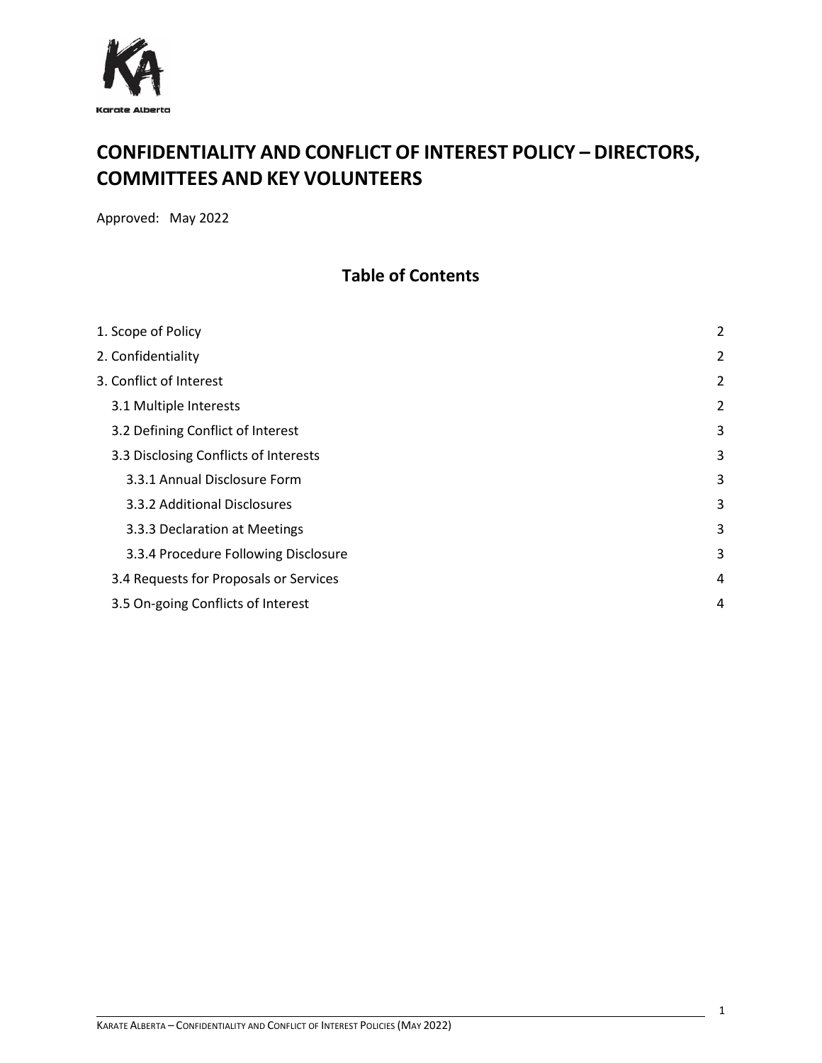

# **CONFIDENTIALITY AND CONFLICT OF INTEREST POLICY – DIRECTORS, COMMITTEES AND KEY VOLUNTEERS**

Approved: May 2022

### **Table of Contents**

| 1. Scope of Policy                     | 2              |
|----------------------------------------|----------------|
| 2. Confidentiality                     | $\overline{2}$ |
| 3. Conflict of Interest                | $\overline{2}$ |
| 3.1 Multiple Interests                 | 2              |
| 3.2 Defining Conflict of Interest      | 3              |
| 3.3 Disclosing Conflicts of Interests  | 3              |
| 3.3.1 Annual Disclosure Form           | 3              |
| 3.3.2 Additional Disclosures           | 3              |
| 3.3.3 Declaration at Meetings          | 3              |
| 3.3.4 Procedure Following Disclosure   | 3              |
| 3.4 Requests for Proposals or Services | 4              |
| 3.5 On-going Conflicts of Interest     | 4              |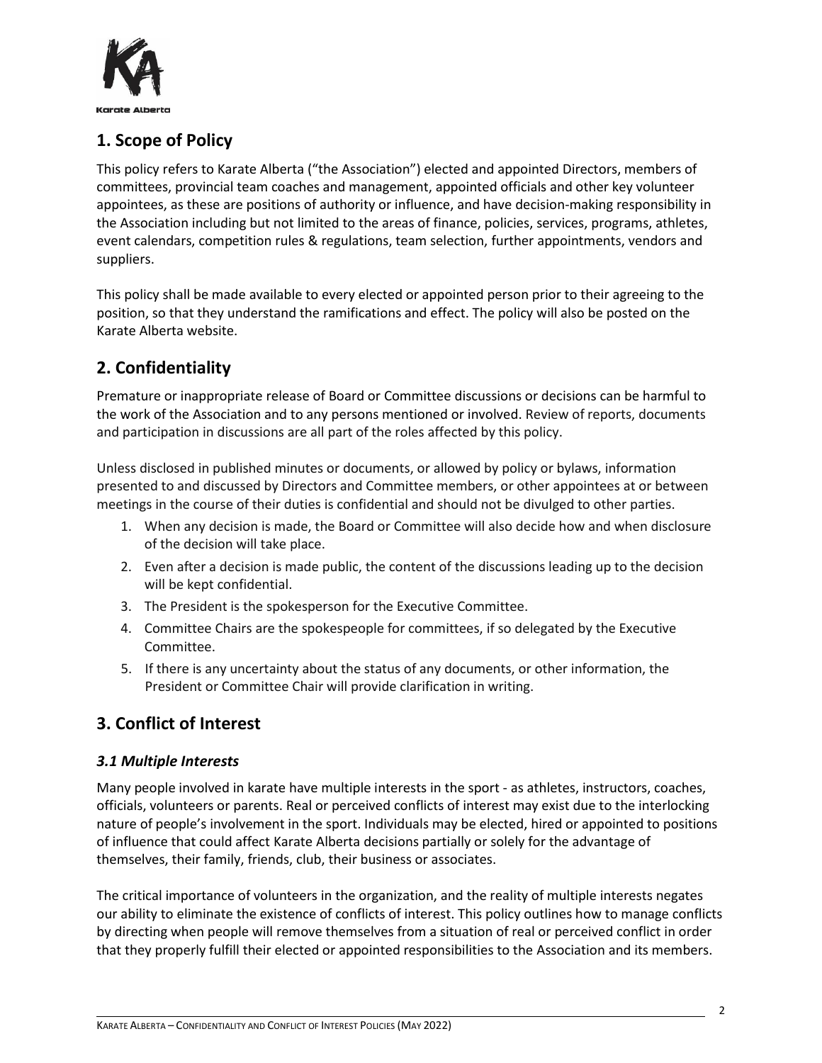

## <span id="page-1-0"></span>**1. Scope of Policy**

This policy refers to Karate Alberta ("the Association") elected and appointed Directors, members of committees, provincial team coaches and management, appointed officials and other key volunteer appointees, as these are positions of authority or influence, and have decision-making responsibility in the Association including but not limited to the areas of finance, policies, services, programs, athletes, event calendars, competition rules & regulations, team selection, further appointments, vendors and suppliers.

This policy shall be made available to every elected or appointed person prior to their agreeing to the position, so that they understand the ramifications and effect. The policy will also be posted on the Karate Alberta website.

## <span id="page-1-1"></span>**2. Confidentiality**

Premature or inappropriate release of Board or Committee discussions or decisions can be harmful to the work of the Association and to any persons mentioned or involved. Review of reports, documents and participation in discussions are all part of the roles affected by this policy.

Unless disclosed in published minutes or documents, or allowed by policy or bylaws, information presented to and discussed by Directors and Committee members, or other appointees at or between meetings in the course of their duties is confidential and should not be divulged to other parties.

- 1. When any decision is made, the Board or Committee will also decide how and when disclosure of the decision will take place.
- 2. Even after a decision is made public, the content of the discussions leading up to the decision will be kept confidential.
- 3. The President is the spokesperson for the Executive Committee.
- 4. Committee Chairs are the spokespeople for committees, if so delegated by the Executive Committee.
- 5. If there is any uncertainty about the status of any documents, or other information, the President or Committee Chair will provide clarification in writing.

## <span id="page-1-2"></span>**3. Conflict of Interest**

### <span id="page-1-3"></span>*3.1 Multiple Interests*

Many people involved in karate have multiple interests in the sport - as athletes, instructors, coaches, officials, volunteers or parents. Real or perceived conflicts of interest may exist due to the interlocking nature of people's involvement in the sport. Individuals may be elected, hired or appointed to positions of influence that could affect Karate Alberta decisions partially or solely for the advantage of themselves, their family, friends, club, their business or associates.

The critical importance of volunteers in the organization, and the reality of multiple interests negates our ability to eliminate the existence of conflicts of interest. This policy outlines how to manage conflicts by directing when people will remove themselves from a situation of real or perceived conflict in order that they properly fulfill their elected or appointed responsibilities to the Association and its members.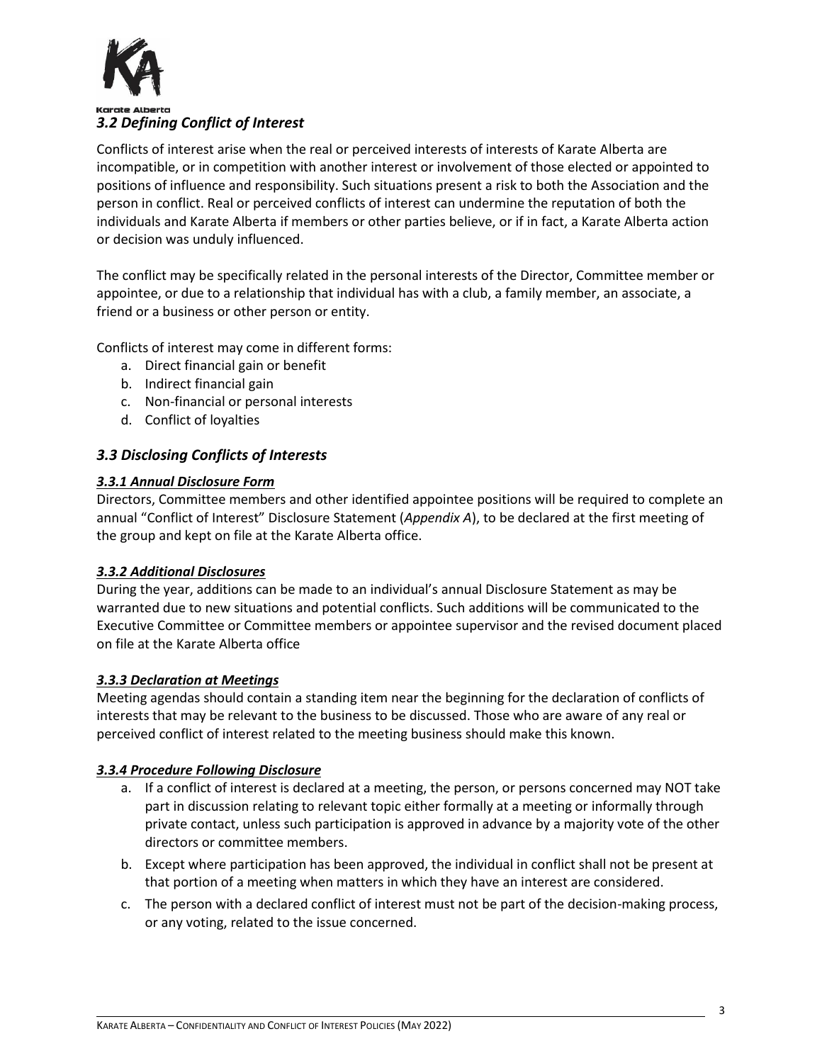

## <span id="page-2-0"></span>*3.2 Defining Conflict of Interest*

Conflicts of interest arise when the real or perceived interests of interests of Karate Alberta are incompatible, or in competition with another interest or involvement of those elected or appointed to positions of influence and responsibility. Such situations present a risk to both the Association and the person in conflict. Real or perceived conflicts of interest can undermine the reputation of both the individuals and Karate Alberta if members or other parties believe, or if in fact, a Karate Alberta action or decision was unduly influenced.

The conflict may be specifically related in the personal interests of the Director, Committee member or appointee, or due to a relationship that individual has with a club, a family member, an associate, a friend or a business or other person or entity.

Conflicts of interest may come in different forms:

- a. Direct financial gain or benefit
- b. Indirect financial gain
- c. Non-financial or personal interests
- d. Conflict of loyalties

### <span id="page-2-1"></span>*3.3 Disclosing Conflicts of Interests*

#### <span id="page-2-2"></span>*3.3.1 Annual Disclosure Form*

Directors, Committee members and other identified appointee positions will be required to complete an annual "Conflict of Interest" Disclosure Statement (*Appendix A*), to be declared at the first meeting of the group and kept on file at the Karate Alberta office.

#### <span id="page-2-3"></span>*3.3.2 Additional Disclosures*

During the year, additions can be made to an individual's annual Disclosure Statement as may be warranted due to new situations and potential conflicts. Such additions will be communicated to the Executive Committee or Committee members or appointee supervisor and the revised document placed on file at the Karate Alberta office

#### <span id="page-2-4"></span>*3.3.3 Declaration at Meetings*

Meeting agendas should contain a standing item near the beginning for the declaration of conflicts of interests that may be relevant to the business to be discussed. Those who are aware of any real or perceived conflict of interest related to the meeting business should make this known.

#### <span id="page-2-5"></span>*3.3.4 Procedure Following Disclosure*

- a. If a conflict of interest is declared at a meeting, the person, or persons concerned may NOT take part in discussion relating to relevant topic either formally at a meeting or informally through private contact, unless such participation is approved in advance by a majority vote of the other directors or committee members.
- b. Except where participation has been approved, the individual in conflict shall not be present at that portion of a meeting when matters in which they have an interest are considered.
- c. The person with a declared conflict of interest must not be part of the decision-making process, or any voting, related to the issue concerned.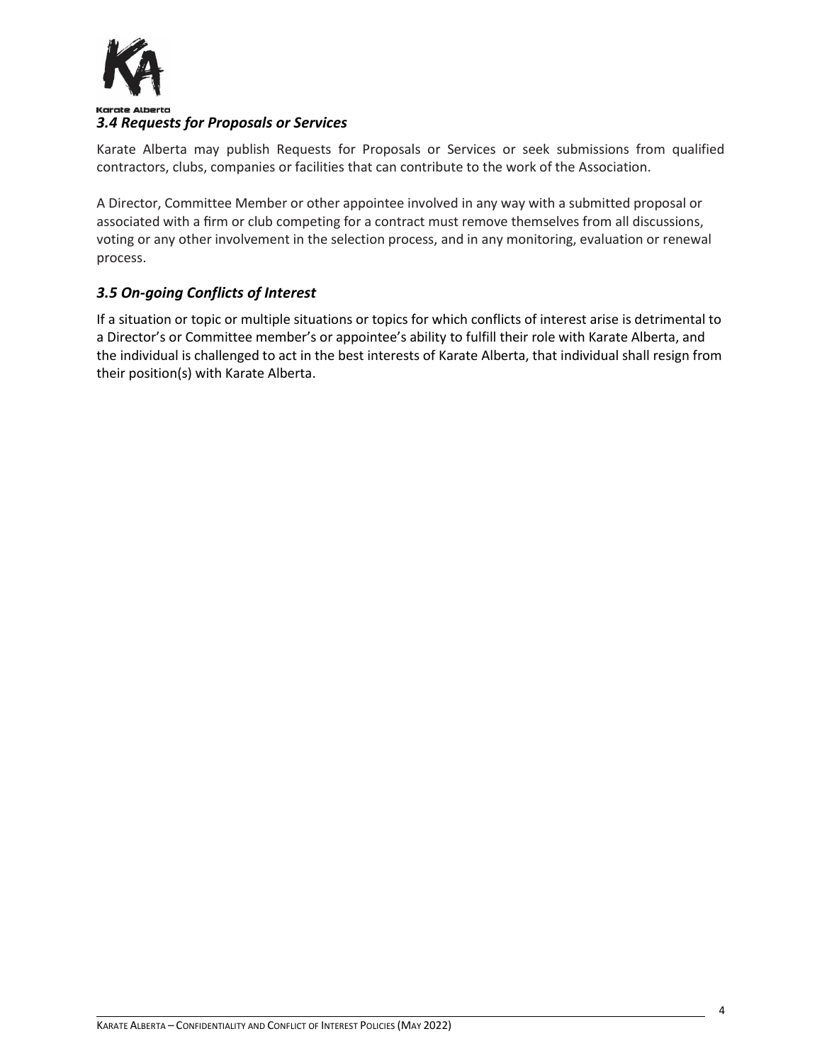

### <span id="page-3-0"></span>*3.4 Requests for Proposals or Services*

Karate Alberta may publish Requests for Proposals or Services or seek submissions from qualified contractors, clubs, companies or facilities that can contribute to the work of the Association.

A Director, Committee Member or other appointee involved in any way with a submitted proposal or associated with a firm or club competing for a contract must remove themselves from all discussions, voting or any other involvement in the selection process, and in any monitoring, evaluation or renewal process.

### <span id="page-3-1"></span>*3.5 On-going Conflicts of Interest*

If a situation or topic or multiple situations or topics for which conflicts of interest arise is detrimental to a Director's or Committee member's or appointee's ability to fulfill their role with Karate Alberta, and the individual is challenged to act in the best interests of Karate Alberta, that individual shall resign from their position(s) with Karate Alberta.